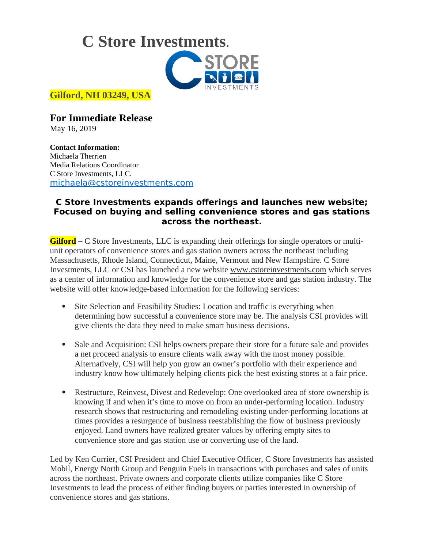**C Store Investments**.



**Gilford, NH 03249, USA**

**For Immediate Release** May 16, 2019

**Contact Information:**

Michaela Therrien Media Relations Coordinator C Store Investments, LLC. [michaela@cstoreinvestments.com](mailto:michaela@cstoreinvestments.com)

## **C Store Investments expands offerings and launches new website; Focused on buying and selling convenience stores and gas stations across the northeast.**

**Gilford –** C Store Investments, LLC is expanding their offerings for single operators or multiunit operators of convenience stores and gas station owners across the northeast including Massachusetts, Rhode Island, Connecticut, Maine, Vermont and New Hampshire. C Store Investments, LLC or CSI has launched a new website [www.cstoreinvestments.com](http://www.cstoreinvestments.com/) which serves as a center of information and knowledge for the convenience store and gas station industry. The website will offer knowledge-based information for the following services:

- Site Selection and Feasibility Studies: Location and traffic is everything when determining how successful a convenience store may be. The analysis CSI provides will give clients the data they need to make smart business decisions.
- Sale and Acquisition: CSI helps owners prepare their store for a future sale and provides a net proceed analysis to ensure clients walk away with the most money possible. Alternatively, CSI will help you grow an owner's portfolio with their experience and industry know how ultimately helping clients pick the best existing stores at a fair price.
- Restructure, Reinvest, Divest and Redevelop: One overlooked area of store ownership is knowing if and when it's time to move on from an under-performing location. Industry research shows that restructuring and remodeling existing under-performing locations at times provides a resurgence of business reestablishing the flow of business previously enjoyed. Land owners have realized greater values by offering empty sites to convenience store and gas station use or converting use of the land.

Led by Ken Currier, CSI President and Chief Executive Officer, C Store Investments has assisted Mobil, Energy North Group and Penguin Fuels in transactions with purchases and sales of units across the northeast. Private owners and corporate clients utilize companies like C Store Investments to lead the process of either finding buyers or parties interested in ownership of convenience stores and gas stations.